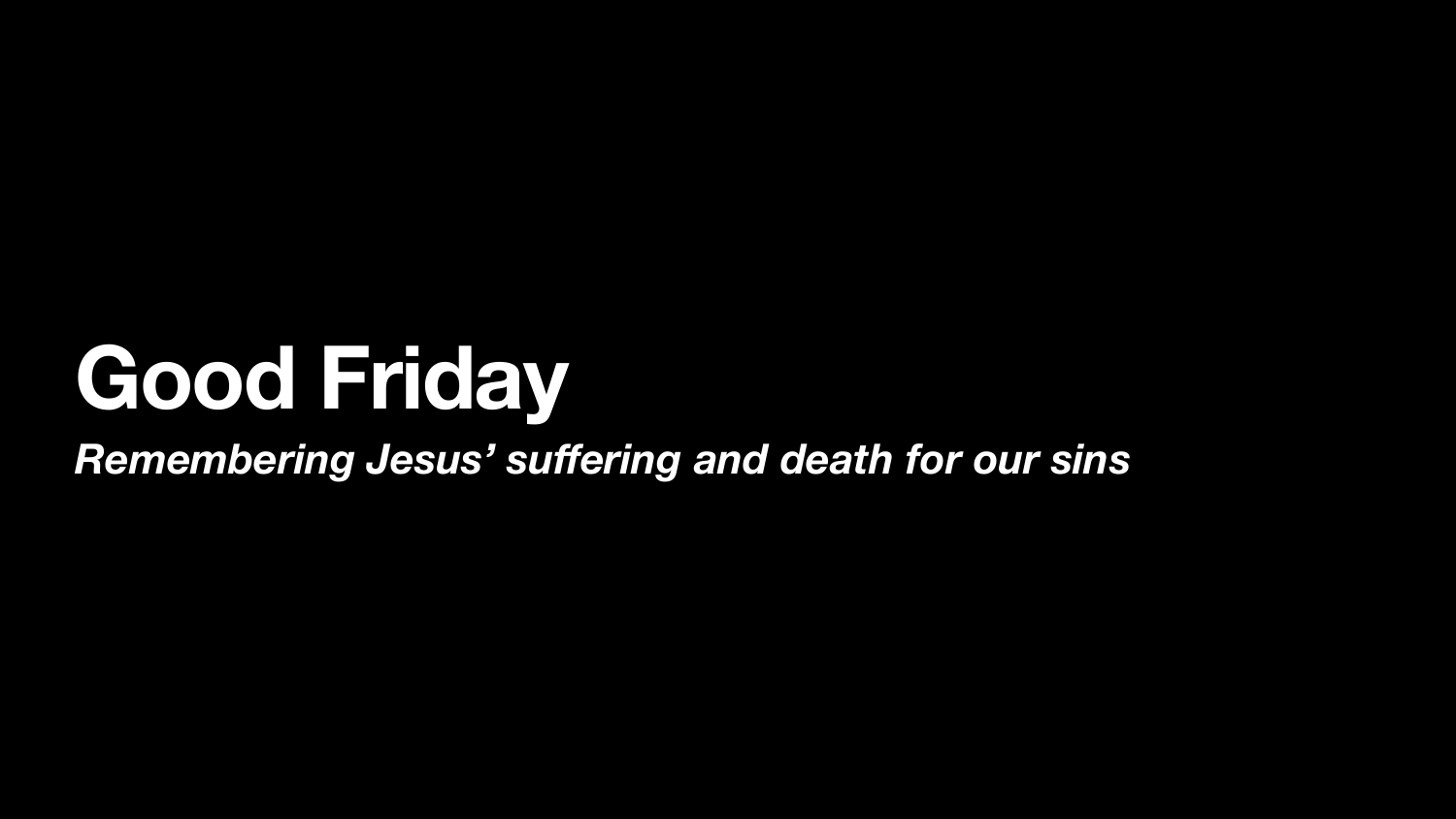# Good Friday Remembering Jesus' suffering and death for our sins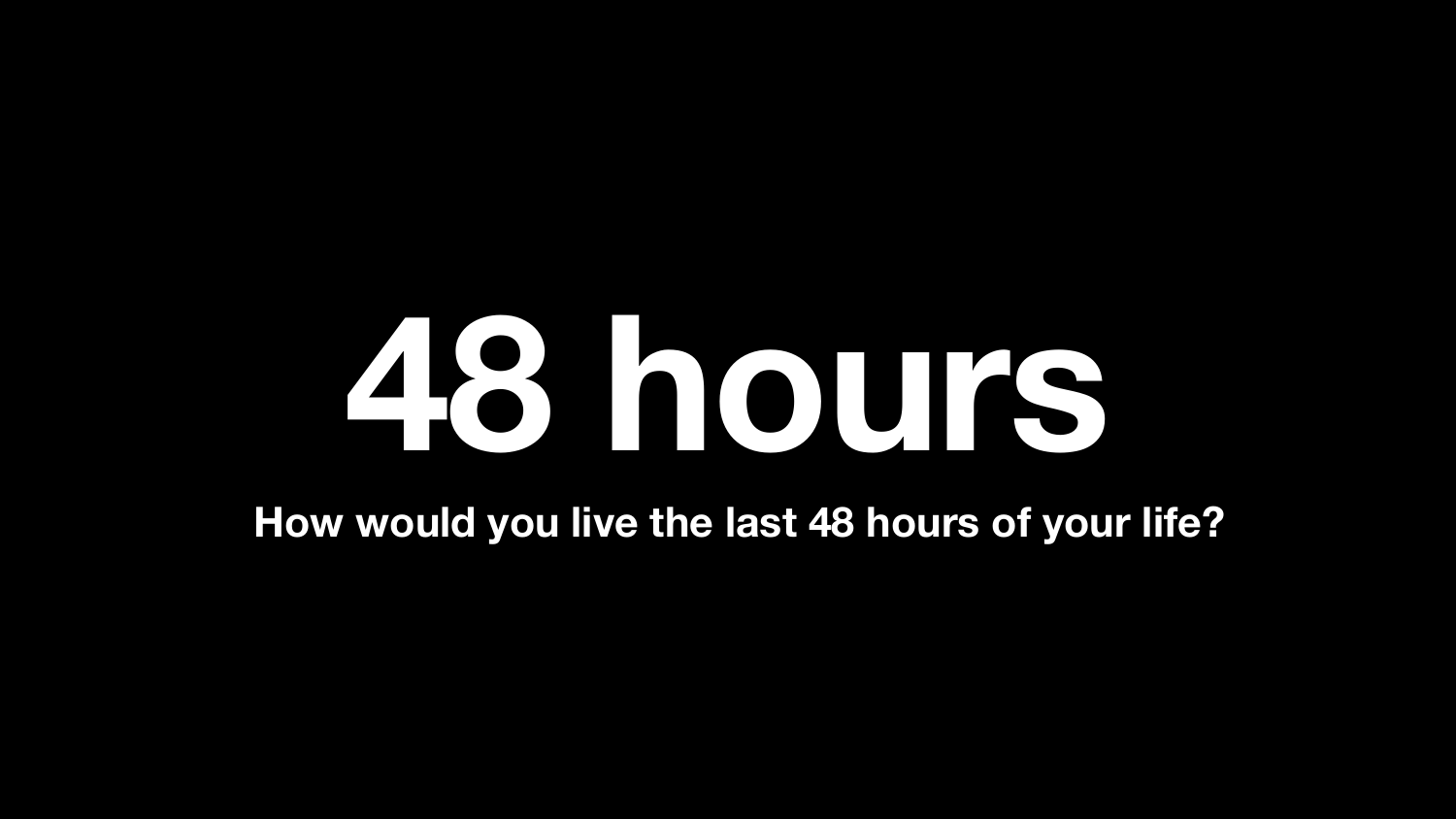#### **How would you live the last 48 hours of your life?**

# **48 hours**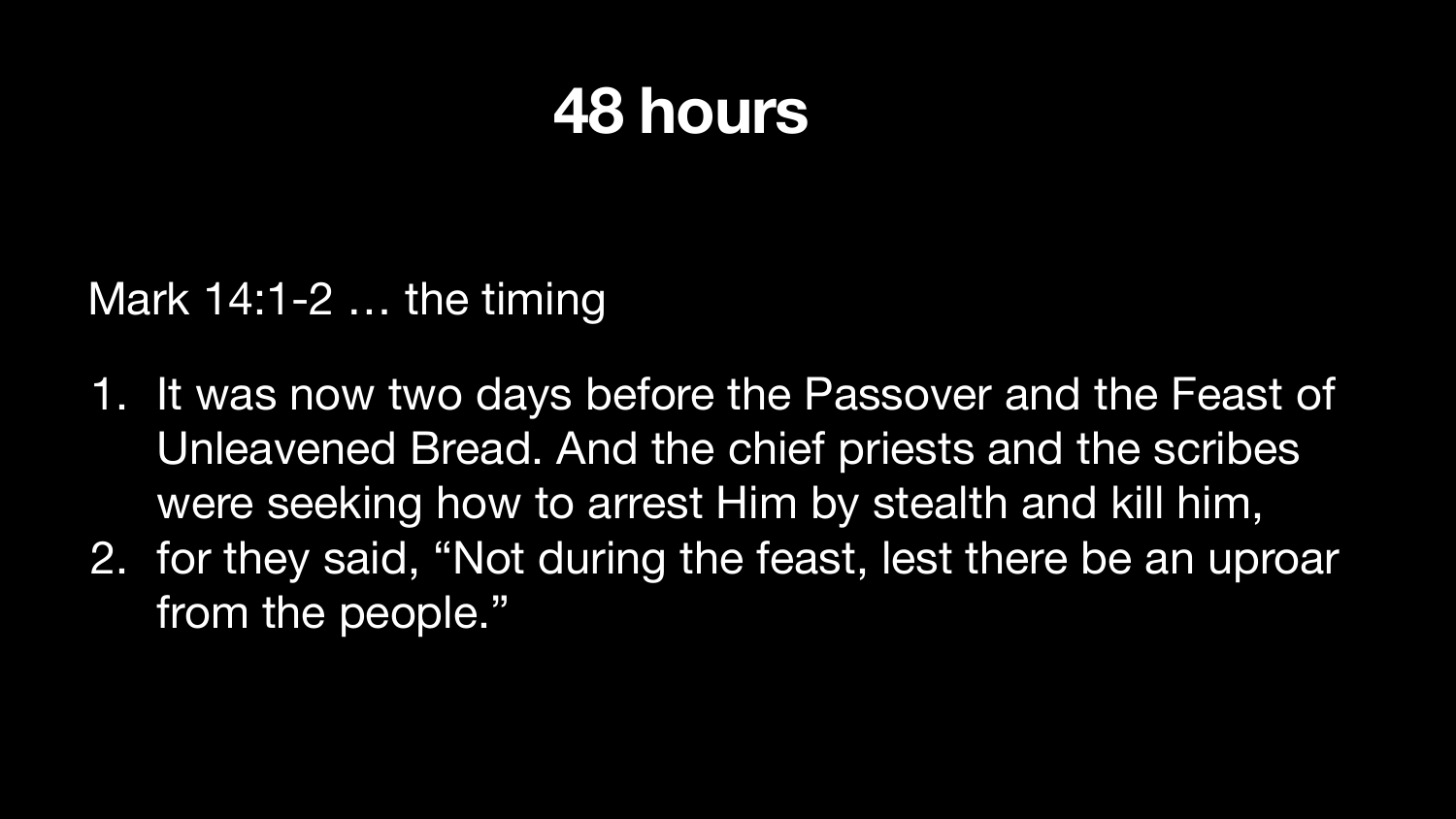1. It was now two days before the Passover and the Feast of Unleavened Bread. And the chief priests and the scribes were seeking how to arrest Him by stealth and kill him, 2. for they said, "Not during the feast, lest there be an uproar

#### Mark 14:1-2 … the timing

- 
- from the people."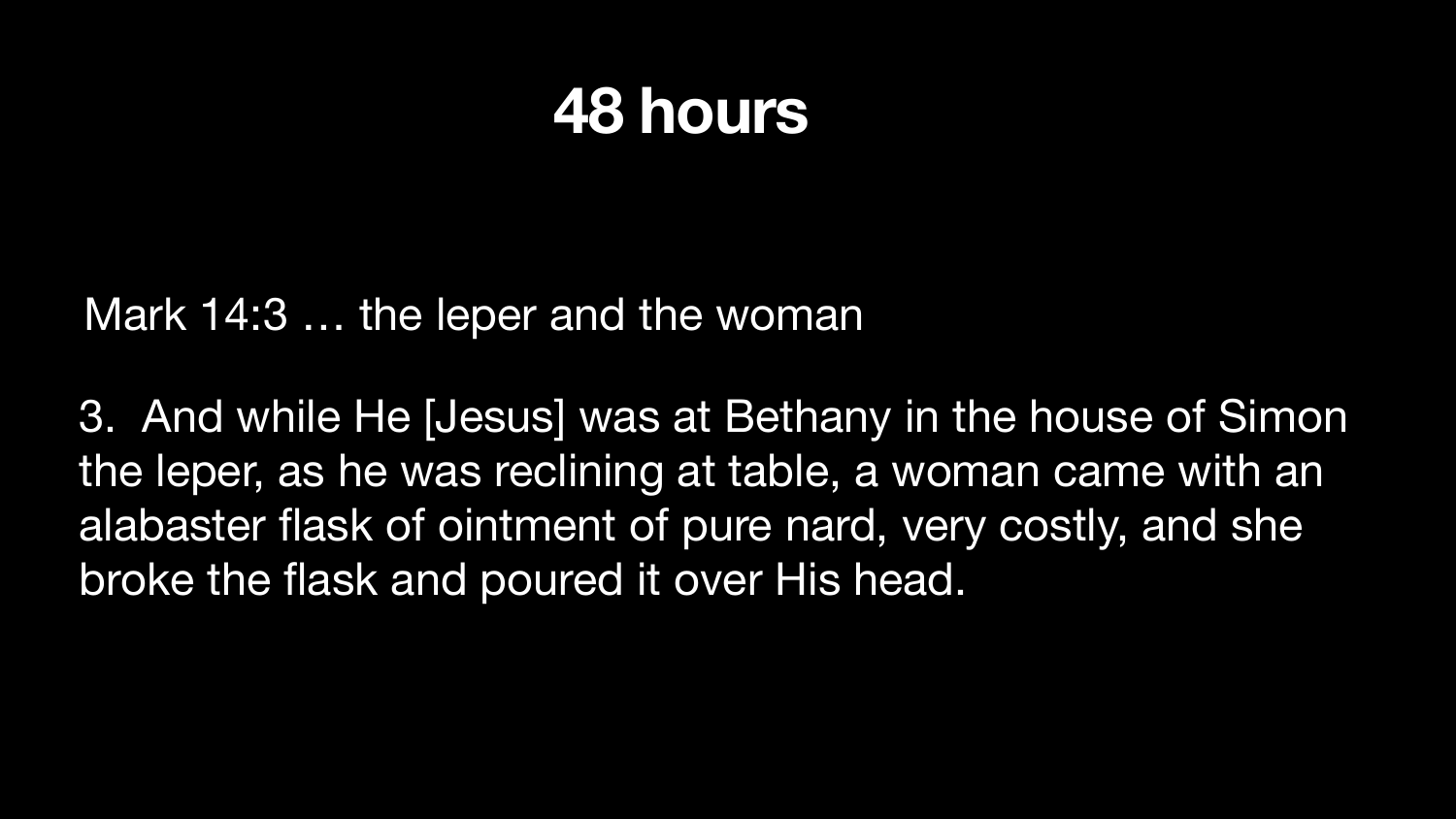3. And while He [Jesus] was at Bethany in the house of Simon the leper, as he was reclining at table, a woman came with an alabaster flask of ointment of pure nard, very costly, and she broke the flask and poured it over His head.

### Mark 14:3 … the leper and the woman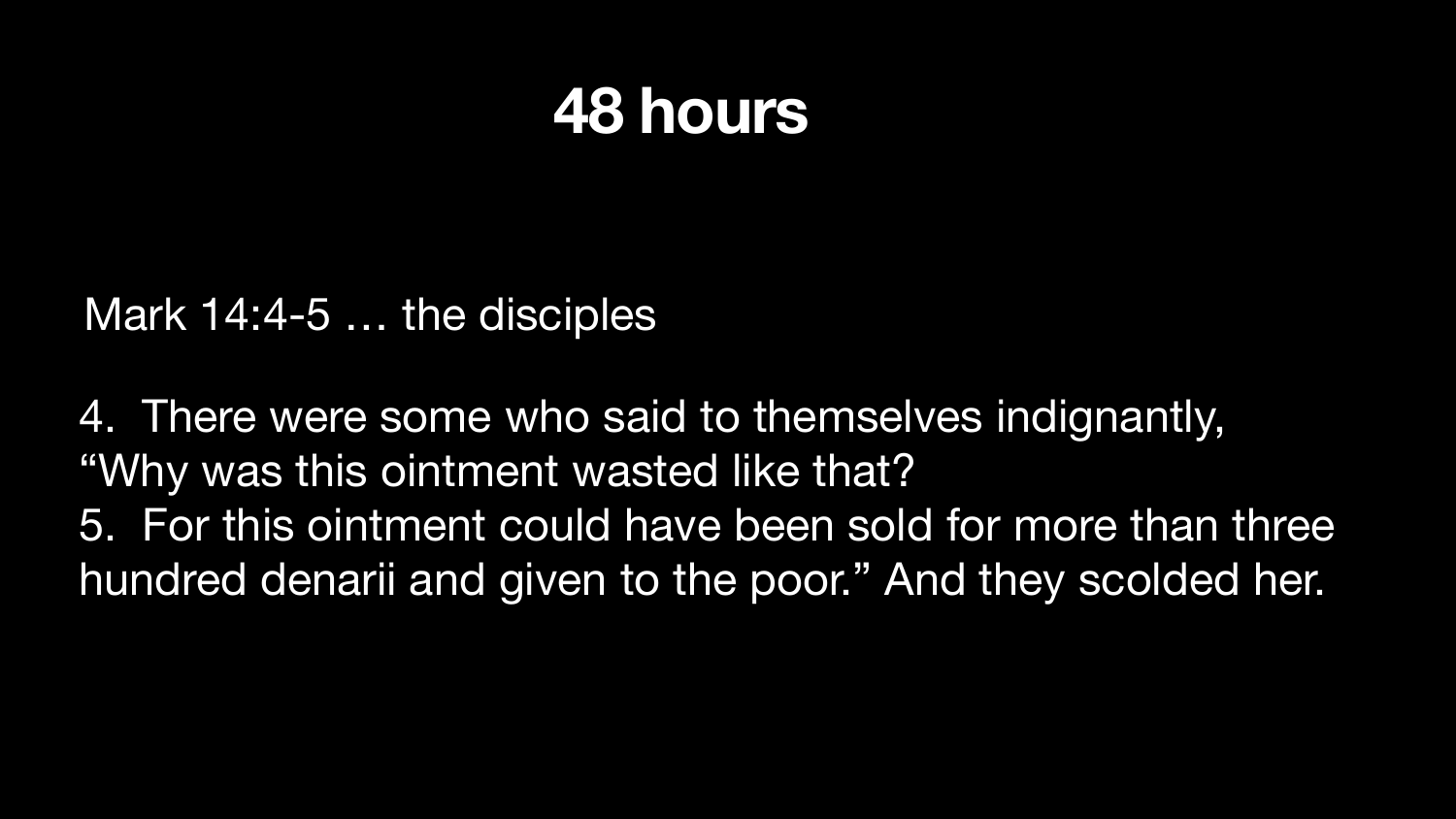4. There were some who said to themselves indignantly, "Why was this ointment wasted like that? 5. For this ointment could have been sold for more than three hundred denarii and given to the poor." And they scolded her.

### Mark 14:4-5 … the disciples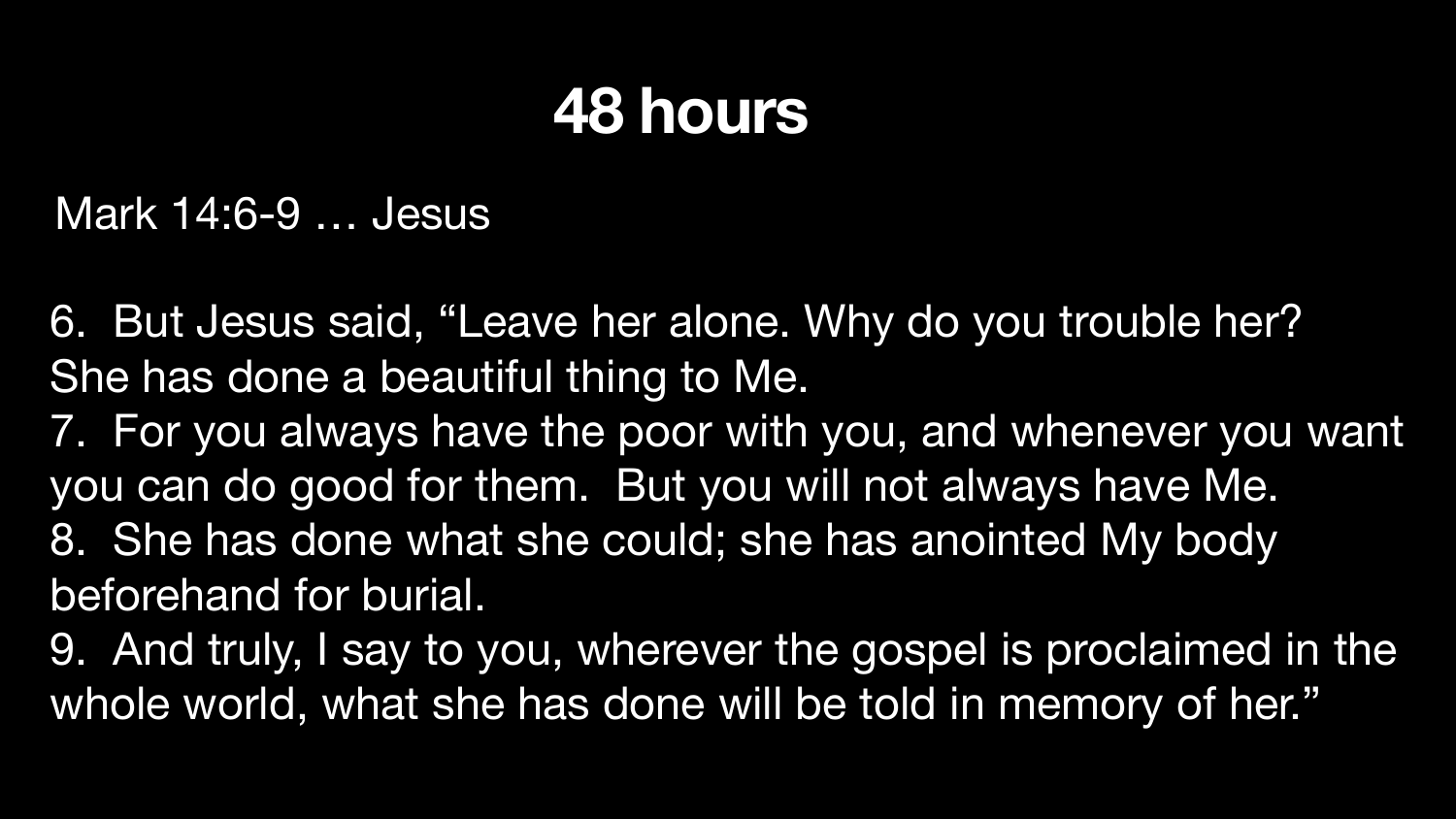She has done a beautiful thing to Me. you can do good for them. But you will not always have Me. 8. She has done what she could; she has anointed My body beforehand for burial.

- 6. But Jesus said, "Leave her alone. Why do you trouble her?
- 7. For you always have the poor with you, and whenever you want
- 9. And truly, I say to you, wherever the gospel is proclaimed in the whole world, what she has done will be told in memory of her."





#### Mark 14:6-9 … Jesus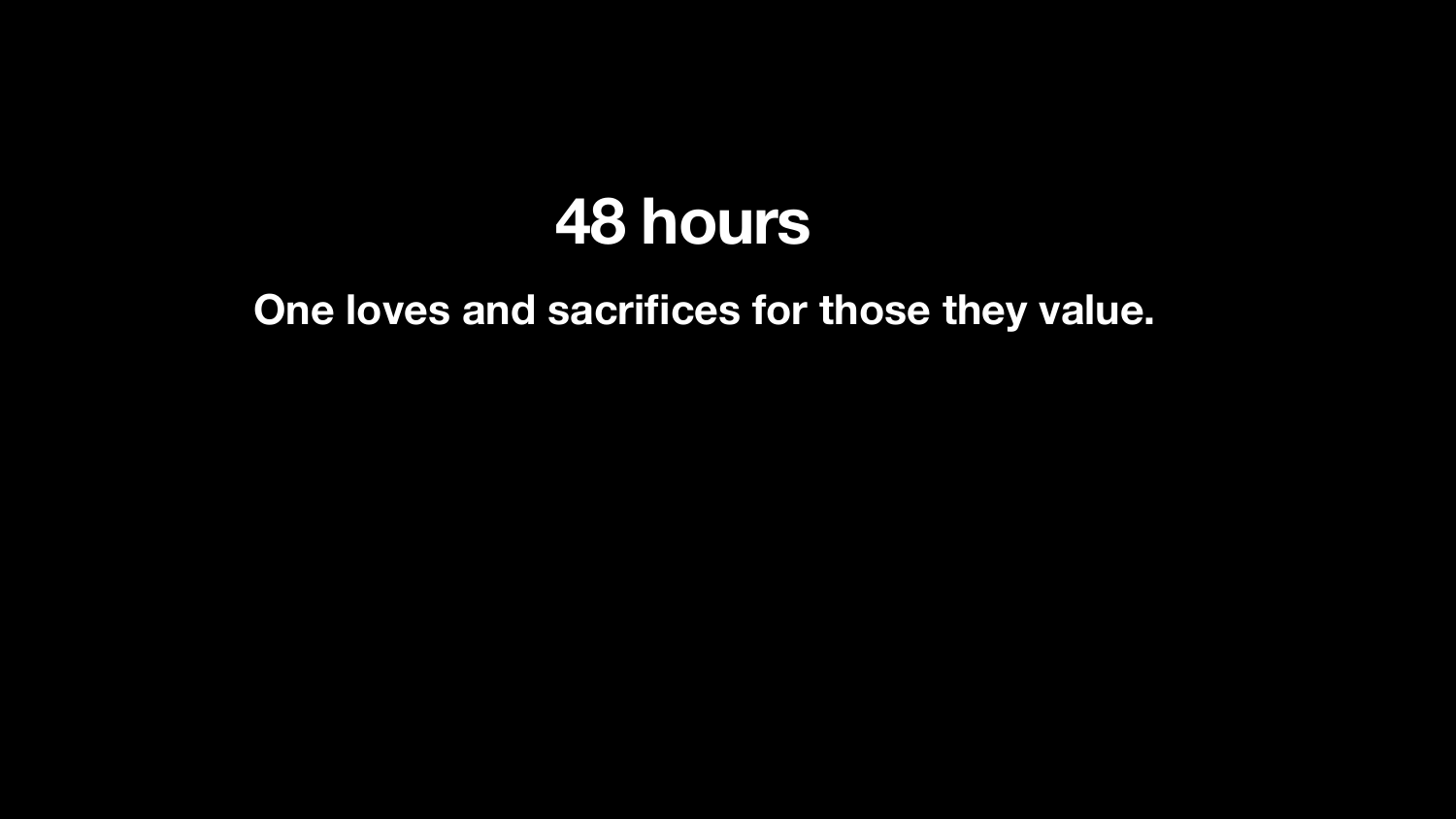# **One loves and sacrifices for those they value.**

# **48 hours**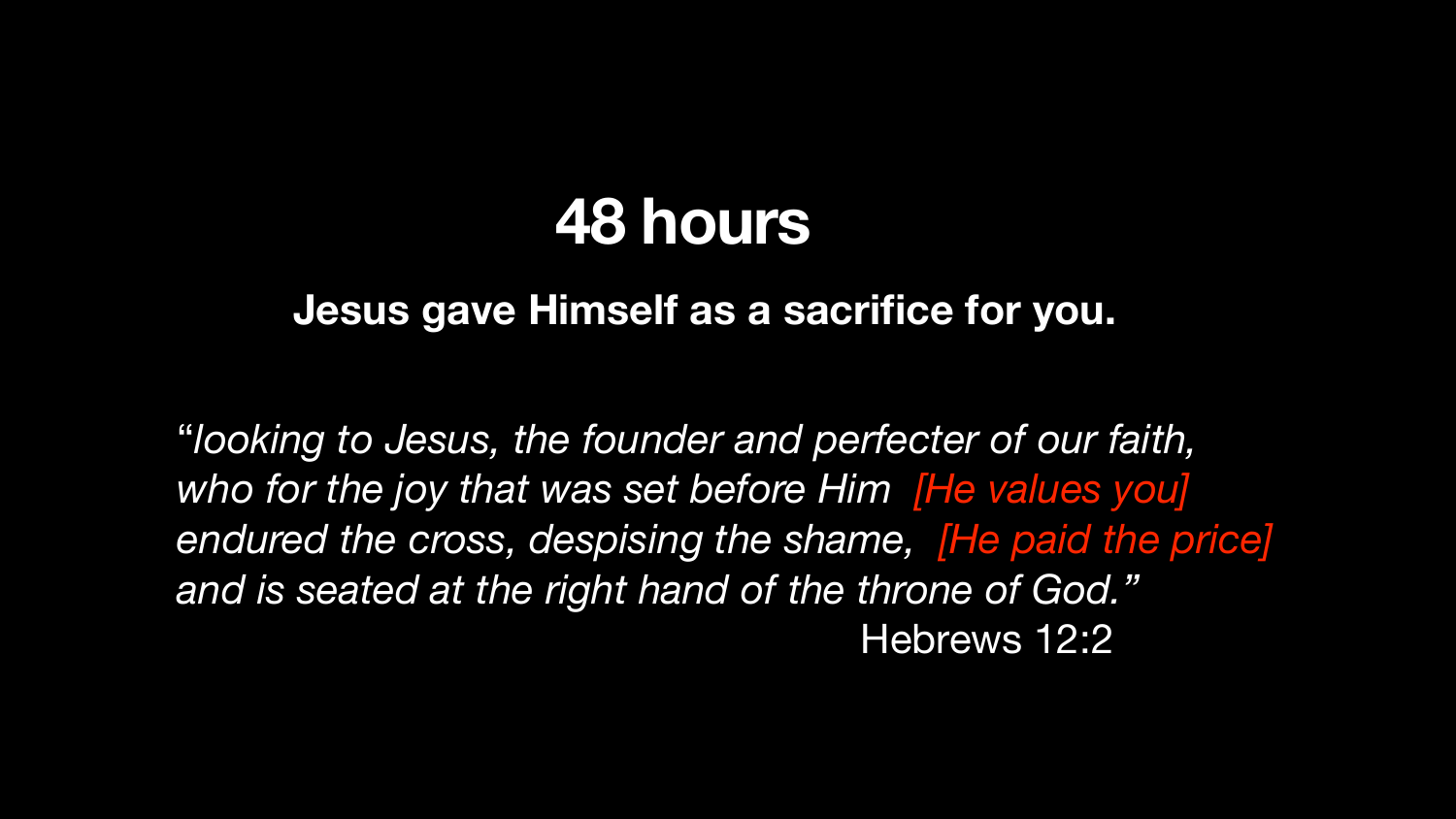**Jesus gave Himself as a sacrifice for you.**

"*looking to Jesus, the founder and perfecter of our faith, who for the joy that was set before Him [He values you]*  endured the cross, despising the shame, **The paid the price]** *and is seated at the right hand of the throne of God."*  Hebrews 12:2

### **48 hours**